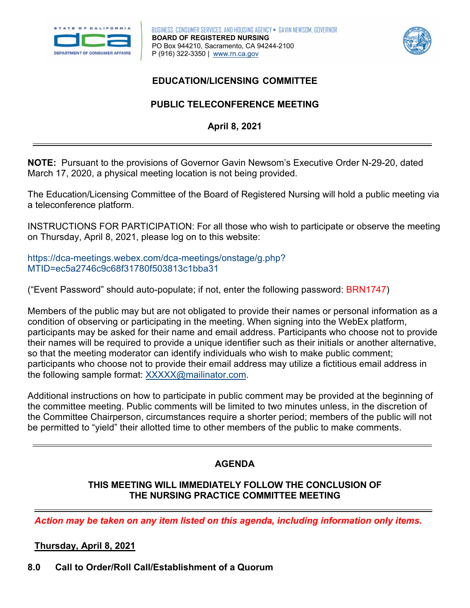



## **EDUCATION/LICENSING COMMITTEE**

# **PUBLIC TELECONFERENCE MEETING April 8, 2021**

 **NOTE:** Pursuant to the provisions of Governor Gavin Newsom's Executive Order N-29-20, dated March 17, 2020, a physical meeting location is not being provided.

The Education/Licensing Committee of the Board of Registered Nursing will hold a public meeting via a teleconference platform.

INSTRUCTIONS FOR PARTICIPATION: For all those who wish to participate or observe the meeting on Thursday, April 8, 2021, please log on to this website:

[https://dca-meetings.webex.com/dca-meetings/onstage/g.php?](https://dca-meetings.webex.com/dca-meetings/onstage/g.php?MTID=ec5a2746c9c68f31780f503813c1bba31) [MTID=ec5a2746c9c68f31780f503813c1bba31](https://dca-meetings.webex.com/dca-meetings/onstage/g.php?MTID=ec5a2746c9c68f31780f503813c1bba31)

("Event Password" should auto-populate; if not, enter the following password: BRN1747)

 Members of the public may but are not obligated to provide their names or personal information as a condition of observing or participating in the meeting. When signing into the WebEx platform, participants may be asked for their name and email address. Participants who choose not to provide their names will be required to provide a unique identifier such as their initials or another alternative, so that the meeting moderator can identify individuals who wish to make public comment; participants who choose not to provide their email address may utilize a fictitious email address in the following sample format[: XXXXX@mailinator.com.](mailto:XXXXX@mailinator.com)

 the Committee Chairperson, circumstances require a shorter period; members of the public will not Additional instructions on how to participate in public comment may be provided at the beginning of the committee meeting. Public comments will be limited to two minutes unless, in the discretion of be permitted to "yield" their allotted time to other members of the public to make comments.

# **AGENDA**

#### **THIS MEETING WILL IMMEDIATELY FOLLOW THE CONCLUSION OF THE NURSING PRACTICE COMMITTEE MEETING**

*Action may be taken on any item listed on this agenda, including information only items.* 

## **Thursday, April 8, 2021**

**8.0 Call to Order/Roll Call/Establishment of a Quorum**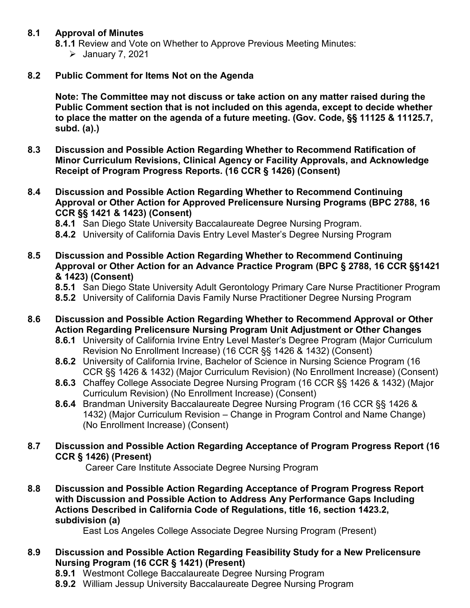#### **8.1 Approval of Minutes**

- **8.1.1** Review and Vote on Whether to Approve Previous Meeting Minutes:
	- $\blacktriangleright$  January 7, 2021

#### $8.2$ **Public Comment for Items Not on the Agenda**

 **Public Comment section that is not included on this agenda, except to decide whether Note: The Committee may not discuss or take action on any matter raised during the to place the matter on the agenda of a future meeting. (Gov. Code, §§ 11125 & 11125.7, subd. (a).)** 

- **8.2 8.3 Discussion and Possible Action Regarding Whether to Recommend Ratification of**   $8.3$ **Minor Curriculum Revisions, Clinical Agency or Facility Approvals, and Acknowledge**  Receipt of Program Progress Reports. (16 CCR § 1426) (Consent)
- **Approval or Other Action for Approved Prelicensure Nursing Programs (BPC 2788, 16 CCR §§ 1421 & 1423) (Consent) 8.4 Discussion and Possible Action Regarding Whether to Recommend Continuing** 
	- **8.4.1** San Diego State University Baccalaureate Degree Nursing Program.
	- **8.4.2** University of California Davis Entry Level Master's Degree Nursing Program
- **8.5 Discussion and Possible Action Regarding Whether to Recommend Continuing Approval or Other Action for an Advance Practice Program (BPC § 2788, 16 CCR §§1421 & 1423) (Consent)**
	- **8.5.1** San Diego State University Adult Gerontology Primary Care Nurse Practitioner Program
	- **8.5.2** University of California Davis Family Nurse Practitioner Degree Nursing Program
- **Action Regarding Prelicensure Nursing Program Unit Adjustment or Other Changes 8.6 Discussion and Possible Action Regarding Whether to Recommend Approval or Other** 
	- **8.6.1** University of California Irvine Entry Level Master's Degree Program (Major Curriculum Revision No Enrollment Increase) (16 CCR §§ 1426 & 1432) (Consent)
	- **8.6.2** University of California Irvine, Bachelor of Science in Nursing Science Program (16 CCR §§ 1426 & 1432) (Major Curriculum Revision) (No Enrollment Increase) (Consent)
	- **8.6.3** Chaffey College Associate Degree Nursing Program (16 CCR §§ 1426 & 1432) (Major Curriculum Revision) (No Enrollment Increase) (Consent)
	- **8.6.4** Brandman University Baccalaureate Degree Nursing Program (16 CCR §§ 1426 & 1432) (Major Curriculum Revision – Change in Program Control and Name Change) (No Enrollment Increase) (Consent)
- **CCR § 1426) (Present) 8.7 Discussion and Possible Action Regarding Acceptance of Program Progress Report (16**

Career Care Institute Associate Degree Nursing Program

**8.8 Discussion and Possible Action Regarding Acceptance of Program Progress Report with Discussion and Possible Action to Address Any Performance Gaps Including Actions Described in California Code of Regulations, title 16, section 1423.2, subdivision (a)**

East Los Angeles College Associate Degree Nursing Program (Present)

- **Discussion and Possible Action Regarding Feasibility Study for a New Prelicensure 8.9 Nursing Program (16 CCR § 1421) (Present)** 
	- **8.9.1** Westmont College Baccalaureate Degree Nursing Program
	- **8.9.2** William Jessup University Baccalaureate Degree Nursing Program